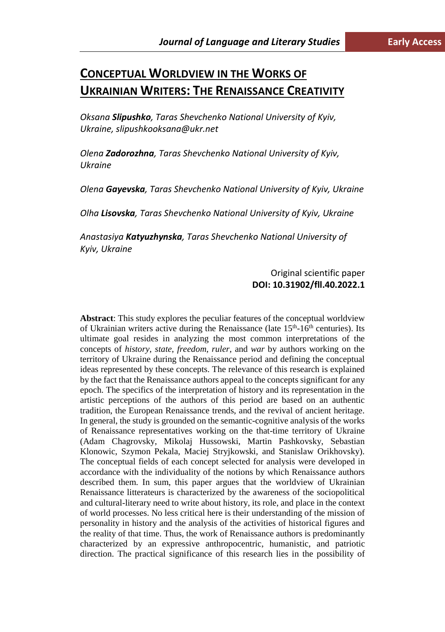# **CONCEPTUAL WORLDVIEW IN THE WORKS OF UKRAINIAN WRITERS: THE RENAISSANCE CREATIVITY**

*Oksana Slipushko, Taras Shevchenko National University of Kyiv, Ukraine, slipushkooksana@ukr.net*

*Olena Zadorozhna, Taras Shevchenko National University of Kyiv, Ukraine*

*Olena Gayevska, Taras Shevchenko National University of Kyiv, Ukraine*

*Olha Lisovska, Taras Shevchenko National University of Kyiv, Ukraine*

*Anastasiya Katyuzhynska, Taras Shevchenko National University of Kyiv, Ukraine*

## Original scientific paper **DOI: 10.31902/fll.40.2022.1**

**Abstract**: This study explores the peculiar features of the conceptual worldview of Ukrainian writers active during the Renaissance (late  $15<sup>th</sup>$ -16<sup>th</sup> centuries). Its ultimate goal resides in analyzing the most common interpretations of the concepts of *history*, *state*, *freedom*, *ruler*, and *war* by authors working on the territory of Ukraine during the Renaissance period and defining the conceptual ideas represented by these concepts. The relevance of this research is explained by the fact that the Renaissance authors appeal to the concepts significant for any epoch. The specifics of the interpretation of history and its representation in the artistic perceptions of the authors of this period are based on an authentic tradition, the European Renaissance trends, and the revival of ancient heritage. In general, the study is grounded on the semantic-cognitive analysis of the works of Renaissance representatives working on the that-time territory of Ukraine (Adam Chagrovsky, Mikolaj Hussowski, Martin Pashkovsky, Sebastian Klonowic, Szymon Pekala, Maciej Stryjkowski, and Stanislaw Orikhovsky). The conceptual fields of each concept selected for analysis were developed in accordance with the individuality of the notions by which Renaissance authors described them. In sum, this paper argues that the worldview of Ukrainian Renaissance litterateurs is characterized by the awareness of the sociopolitical and cultural-literary need to write about history, its role, and place in the context of world processes. No less critical here is their understanding of the mission of personality in history and the analysis of the activities of historical figures and the reality of that time. Thus, the work of Renaissance authors is predominantly characterized by an expressive anthropocentric, humanistic, and patriotic direction. The practical significance of this research lies in the possibility of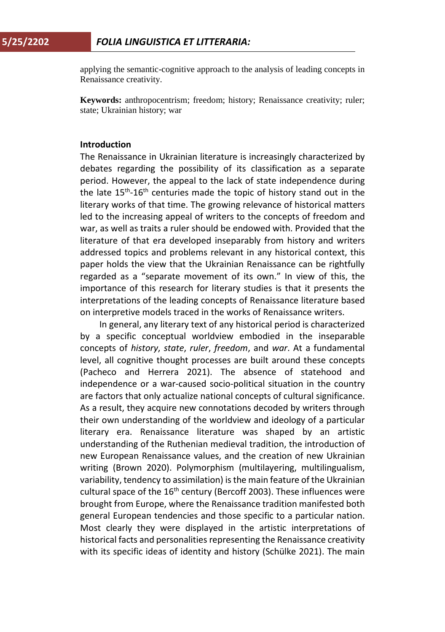applying the semantic-cognitive approach to the analysis of leading concepts in Renaissance creativity.

**Keywords:** anthropocentrism; freedom; history; Renaissance creativity; ruler; state; Ukrainian history; war

## **Introduction**

The Renaissance in Ukrainian literature is increasingly characterized by debates regarding the possibility of its classification as a separate period. However, the appeal to the lack of state independence during the late  $15<sup>th</sup>$ -16<sup>th</sup> centuries made the topic of history stand out in the literary works of that time. The growing relevance of historical matters led to the increasing appeal of writers to the concepts of freedom and war, as well as traits a ruler should be endowed with. Provided that the literature of that era developed inseparably from history and writers addressed topics and problems relevant in any historical context, this paper holds the view that the Ukrainian Renaissance can be rightfully regarded as a "separate movement of its own." In view of this, the importance of this research for literary studies is that it presents the interpretations of the leading concepts of Renaissance literature based on interpretive models traced in the works of Renaissance writers.

In general, any literary text of any historical period is characterized by a specific conceptual worldview embodied in the inseparable concepts of *history*, *state*, *ruler*, *freedom*, and *war*. At a fundamental level, all cognitive thought processes are built around these concepts (Pacheco and Herrera 2021). The absence of statehood and independence or a war-caused socio-political situation in the country are factors that only actualize national concepts of cultural significance. As a result, they acquire new connotations decoded by writers through their own understanding of the worldview and ideology of a particular literary era. Renaissance literature was shaped by an artistic understanding of the Ruthenian medieval tradition, the introduction of new European Renaissance values, and the creation of new Ukrainian writing (Brown 2020). Polymorphism (multilayering, multilingualism, variability, tendency to assimilation) is the main feature of the Ukrainian cultural space of the  $16<sup>th</sup>$  century (Bercoff 2003). These influences were brought from Europe, where the Renaissance tradition manifested both general European tendencies and those specific to a particular nation. Most clearly they were displayed in the artistic interpretations of historical facts and personalities representing the Renaissance creativity with its specific ideas of identity and history (Schülke 2021). The main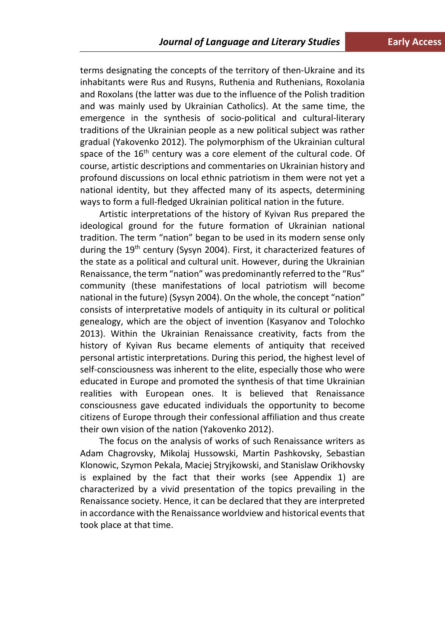terms designating the concepts of the territory of then-Ukraine and its inhabitants were Rus and Rusyns, Ruthenia and Ruthenians, Roxolania and Roxolans (the latter was due to the influence of the Polish tradition and was mainly used by Ukrainian Catholics). At the same time, the emergence in the synthesis of socio-political and cultural-literary traditions of the Ukrainian people as a new political subject was rather gradual (Yakovenko 2012). The polymorphism of the Ukrainian cultural space of the 16<sup>th</sup> century was a core element of the cultural code. Of course, artistic descriptions and commentaries on Ukrainian history and profound discussions on local ethnic patriotism in them were not yet a national identity, but they affected many of its aspects, determining ways to form a full-fledged Ukrainian political nation in the future.

Artistic interpretations of the history of Kyivan Rus prepared the ideological ground for the future formation of Ukrainian national tradition. The term "nation" began to be used in its modern sense only during the 19<sup>th</sup> century (Sysyn 2004). First, it characterized features of the state as a political and cultural unit. However, during the Ukrainian Renaissance, the term "nation" was predominantly referred to the "Rus" community (these manifestations of local patriotism will become national in the future) (Sysyn 2004). On the whole, the concept "nation" consists of interpretative models of antiquity in its cultural or political genealogy, which are the object of invention (Kasyanov and Tolochko 2013). Within the Ukrainian Renaissance creativity, facts from the history of Kyivan Rus became elements of antiquity that received personal artistic interpretations. During this period, the highest level of self-consciousness was inherent to the elite, especially those who were educated in Europe and promoted the synthesis of that time Ukrainian realities with European ones. It is believed that Renaissance consciousness gave educated individuals the opportunity to become citizens of Europe through their confessional affiliation and thus create their own vision of the nation (Yakovenko 2012).

The focus on the analysis of works of such Renaissance writers as Adam Chagrovsky, Mikolaj Hussowski, Martin Pashkovsky, Sebastian Klonowic, Szymon Pekala, Maciej Stryjkowski, and Stanislaw Orikhovsky is explained by the fact that their works (see Appendix 1) are characterized by a vivid presentation of the topics prevailing in the Renaissance society. Hence, it can be declared that they are interpreted in accordance with the Renaissance worldview and historical events that took place at that time.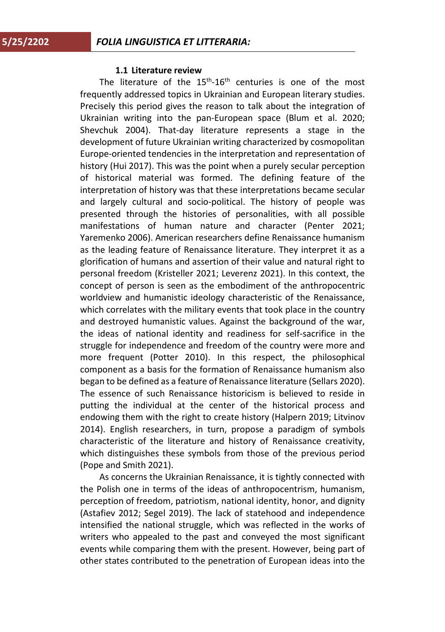## **1.1 Literature review**

The literature of the  $15^{th}$ - $16^{th}$  centuries is one of the most frequently addressed topics in Ukrainian and European literary studies. Precisely this period gives the reason to talk about the integration of Ukrainian writing into the pan-European space (Blum et al. 2020; Shevchuk 2004). That-day literature represents a stage in the development of future Ukrainian writing characterized by cosmopolitan Europe-oriented tendencies in the interpretation and representation of history (Hui 2017). This was the point when a purely secular perception of historical material was formed. The defining feature of the interpretation of history was that these interpretations became secular and largely cultural and socio-political. The history of people was presented through the histories of personalities, with all possible manifestations of human nature and character (Penter 2021; Yaremenko 2006). American researchers define Renaissance humanism as the leading feature of Renaissance literature. They interpret it as a glorification of humans and assertion of their value and natural right to personal freedom (Kristeller 2021; Leverenz 2021). In this context, the concept of person is seen as the embodiment of the anthropocentric worldview and humanistic ideology characteristic of the Renaissance, which correlates with the military events that took place in the country and destroyed humanistic values. Against the background of the war, the ideas of national identity and readiness for self-sacrifice in the struggle for independence and freedom of the country were more and more frequent (Potter 2010). In this respect, the philosophical component as a basis for the formation of Renaissance humanism also began to be defined as a feature of Renaissance literature (Sellars 2020). The essence of such Renaissance historicism is believed to reside in putting the individual at the center of the historical process and endowing them with the right to create history (Halpern 2019; Litvinov 2014). English researchers, in turn, propose a paradigm of symbols characteristic of the literature and history of Renaissance creativity, which distinguishes these symbols from those of the previous period (Pope and Smith 2021).

As concerns the Ukrainian Renaissance, it is tightly connected with the Polish one in terms of the ideas of anthropocentrism, humanism, perception of freedom, patriotism, national identity, honor, and dignity (Astafiev 2012; Segel 2019). The lack of statehood and independence intensified the national struggle, which was reflected in the works of writers who appealed to the past and conveyed the most significant events while comparing them with the present. However, being part of other states contributed to the penetration of European ideas into the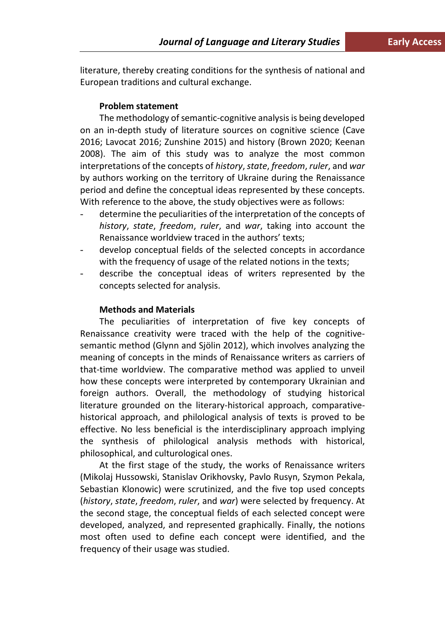literature, thereby creating conditions for the synthesis of national and European traditions and cultural exchange.

## **Problem statement**

The methodology of semantic-cognitive analysis is being developed on an in-depth study of literature sources on cognitive science (Cave 2016; Lavocat 2016; Zunshine 2015) and history (Brown 2020; Keenan 2008). The aim of this study was to analyze the most common interpretations of the concepts of *history*, *state*, *freedom*, *ruler*, and *war* by authors working on the territory of Ukraine during the Renaissance period and define the conceptual ideas represented by these concepts. With reference to the above, the study objectives were as follows:

- determine the peculiarities of the interpretation of the concepts of *history*, *state*, *freedom*, *ruler*, and *war*, taking into account the Renaissance worldview traced in the authors' texts;
- develop conceptual fields of the selected concepts in accordance with the frequency of usage of the related notions in the texts;
- describe the conceptual ideas of writers represented by the concepts selected for analysis.

## **Methods and Materials**

The peculiarities of interpretation of five key concepts of Renaissance creativity were traced with the help of the cognitivesemantic method (Glynn and Sjölin 2012), which involves analyzing the meaning of concepts in the minds of Renaissance writers as carriers of that-time worldview. The comparative method was applied to unveil how these concepts were interpreted by contemporary Ukrainian and foreign authors. Overall, the methodology of studying historical literature grounded on the literary-historical approach, comparativehistorical approach, and philological analysis of texts is proved to be effective. No less beneficial is the interdisciplinary approach implying the synthesis of philological analysis methods with historical, philosophical, and culturological ones.

At the first stage of the study, the works of Renaissance writers (Mikolaj Hussowski, Stanislav Orikhovsky, Pavlo Rusyn, Szymon Pekala, Sebastian Klonowic) were scrutinized, and the five top used concepts (*history*, *state*, *freedom*, *ruler*, and *war*) were selected by frequency. At the second stage, the conceptual fields of each selected concept were developed, analyzed, and represented graphically. Finally, the notions most often used to define each concept were identified, and the frequency of their usage was studied.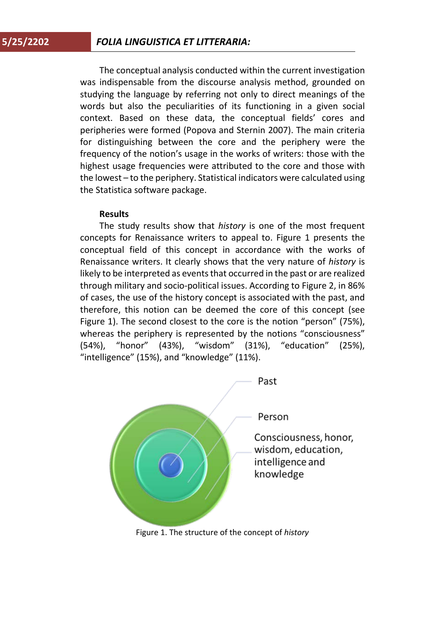The conceptual analysis conducted within the current investigation was indispensable from the discourse analysis method, grounded on studying the language by referring not only to direct meanings of the words but also the peculiarities of its functioning in a given social context. Based on these data, the conceptual fields' cores and peripheries were formed (Popova and Sternin 2007). The main criteria for distinguishing between the core and the periphery were the frequency of the notion's usage in the works of writers: those with the highest usage frequencies were attributed to the core and those with the lowest – to the periphery. Statistical indicators were calculated using the Statistica software package.

## **Results**

The study results show that *history* is one of the most frequent concepts for Renaissance writers to appeal to. Figure 1 presents the conceptual field of this concept in accordance with the works of Renaissance writers. It clearly shows that the very nature of *history* is likely to be interpreted as events that occurred in the past or are realized through military and socio-political issues. According to Figure 2, in 86% of cases, the use of the history concept is associated with the past, and therefore, this notion can be deemed the core of this concept (see Figure 1). The second closest to the core is the notion "person" (75%), whereas the periphery is represented by the notions "consciousness" (54%), "honor" (43%), "wisdom" (31%), "education" (25%), "intelligence" (15%), and "knowledge" (11%).



Figure 1. The structure of the concept of *history*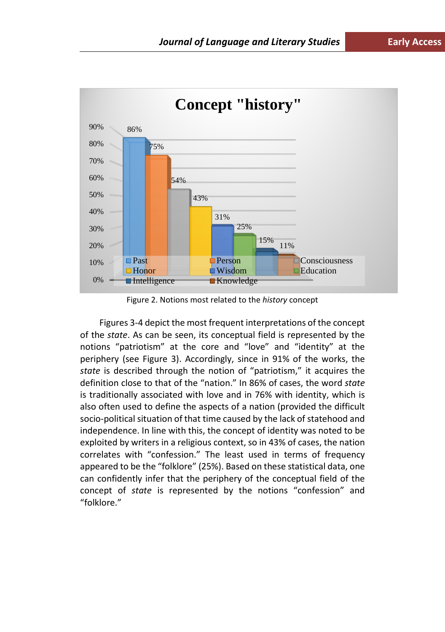

Figure 2. Notions most related to the *history* concept

Figures 3-4 depict the most frequent interpretations of the concept of the *state*. As can be seen, its conceptual field is represented by the notions "patriotism" at the core and "love" and "identity" at the periphery (see Figure 3). Accordingly, since in 91% of the works, the *state* is described through the notion of "patriotism," it acquires the definition close to that of the "nation." In 86% of cases, the word *state*  is traditionally associated with love and in 76% with identity, which is also often used to define the aspects of a nation (provided the difficult socio-political situation of that time caused by the lack of statehood and independence. In line with this, the concept of identity was noted to be exploited by writers in a religious context, so in 43% of cases, the nation correlates with "confession." The least used in terms of frequency appeared to be the "folklore" (25%). Based on these statistical data, one can confidently infer that the periphery of the conceptual field of the concept of *state* is represented by the notions "confession" and "folklore."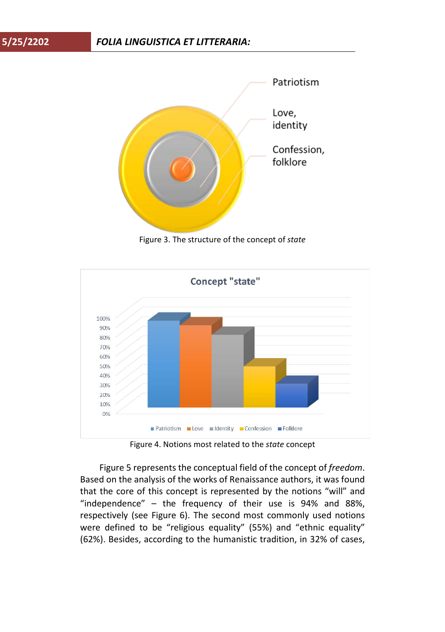

Figure 3. The structure of the concept of *state*



Figure 4. Notions most related to the *state* concept

Figure 5 represents the conceptual field of the concept of *freedom*. Based on the analysis of the works of Renaissance authors, it was found that the core of this concept is represented by the notions "will" and "independence" – the frequency of their use is 94% and 88%, respectively (see Figure 6). The second most commonly used notions were defined to be "religious equality" (55%) and "ethnic equality" (62%). Besides, according to the humanistic tradition, in 32% of cases,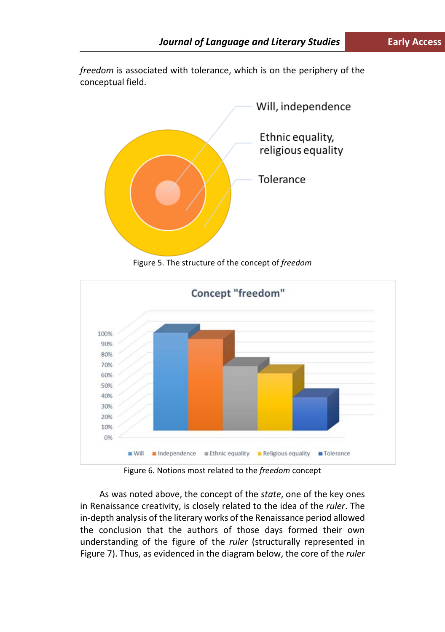*freedom* is associated with tolerance, which is on the periphery of the conceptual field.



Figure 5. The structure of the concept of *freedom*



Figure 6. Notions most related to the *freedom* concept

As was noted above, the concept of the *state*, one of the key ones in Renaissance creativity, is closely related to the idea of the *ruler*. The in-depth analysis of the literary works of the Renaissance period allowed the conclusion that the authors of those days formed their own understanding of the figure of the *ruler* (structurally represented in Figure 7). Thus, as evidenced in the diagram below, the core of the *ruler*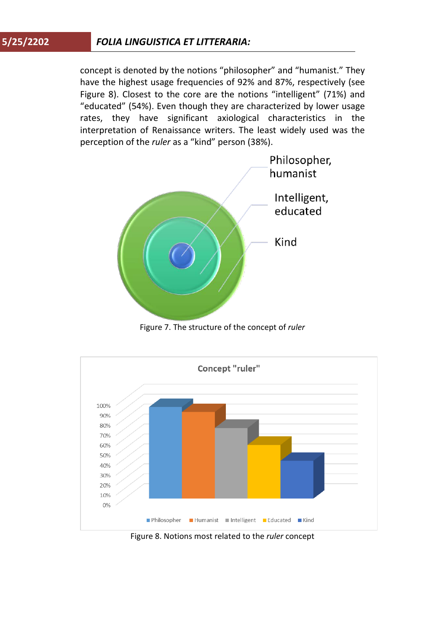## **5/25/2202** *FOLIA LINGUISTICA ET LITTERARIA:*

concept is denoted by the notions "philosopher" and "humanist." They have the highest usage frequencies of 92% and 87%, respectively (see Figure 8). Closest to the core are the notions "intelligent" (71%) and "educated" (54%). Even though they are characterized by lower usage rates, they have significant axiological characteristics in the interpretation of Renaissance writers. The least widely used was the perception of the *ruler* as a "kind" person (38%).



Figure 7. The structure of the concept of *ruler*



Figure 8. Notions most related to the *ruler* concept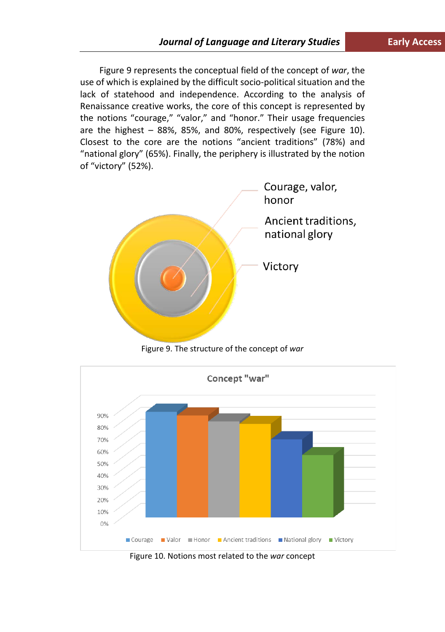Figure 9 represents the conceptual field of the concept of *war*, the use of which is explained by the difficult socio-political situation and the lack of statehood and independence. According to the analysis of Renaissance creative works, the core of this concept is represented by the notions "courage," "valor," and "honor." Their usage frequencies are the highest – 88%, 85%, and 80%, respectively (see Figure 10). Closest to the core are the notions "ancient traditions" (78%) and "national glory" (65%). Finally, the periphery is illustrated by the notion of "victory" (52%).



Figure 9. The structure of the concept of *war*



Figure 10. Notions most related to the *war* concept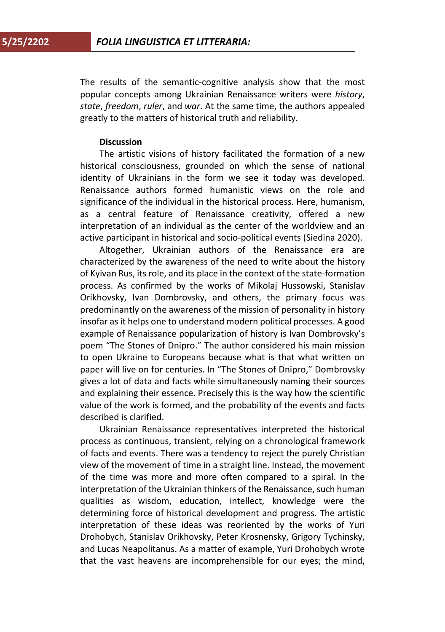The results of the semantic-cognitive analysis show that the most popular concepts among Ukrainian Renaissance writers were *history*, *state*, *freedom*, *ruler*, and *war*. At the same time, the authors appealed greatly to the matters of historical truth and reliability.

## **Discussion**

The artistic visions of history facilitated the formation of a new historical consciousness, grounded on which the sense of national identity of Ukrainians in the form we see it today was developed. Renaissance authors formed humanistic views on the role and significance of the individual in the historical process. Here, humanism, as a central feature of Renaissance creativity, offered a new interpretation of an individual as the center of the worldview and an active participant in historical and socio-political events (Siedina 2020).

Altogether, Ukrainian authors of the Renaissance era are characterized by the awareness of the need to write about the history of Kyivan Rus, its role, and its place in the context of the state-formation process. As confirmed by the works of Mikolaj Hussowski, Stanislav Orikhovsky, Ivan Dombrovsky, and others, the primary focus was predominantly on the awareness of the mission of personality in history insofar as it helps one to understand modern political processes. A good example of Renaissance popularization of history is Ivan Dombrovsky's poem "The Stones of Dnipro." The author considered his main mission to open Ukraine to Europeans because what is that what written on paper will live on for centuries. In "The Stones of Dnipro," Dombrovsky gives a lot of data and facts while simultaneously naming their sources and explaining their essence. Precisely this is the way how the scientific value of the work is formed, and the probability of the events and facts described is clarified.

Ukrainian Renaissance representatives interpreted the historical process as continuous, transient, relying on a chronological framework of facts and events. There was a tendency to reject the purely Christian view of the movement of time in a straight line. Instead, the movement of the time was more and more often compared to a spiral. In the interpretation of the Ukrainian thinkers of the Renaissance, such human qualities as wisdom, education, intellect, knowledge were the determining force of historical development and progress. The artistic interpretation of these ideas was reoriented by the works of Yuri Drohobych, Stanislav Orikhovsky, Peter Krosnensky, Grigory Tychinsky, and Lucas Neapolitanus. As a matter of example, Yuri Drohobych wrote that the vast heavens are incomprehensible for our eyes; the mind,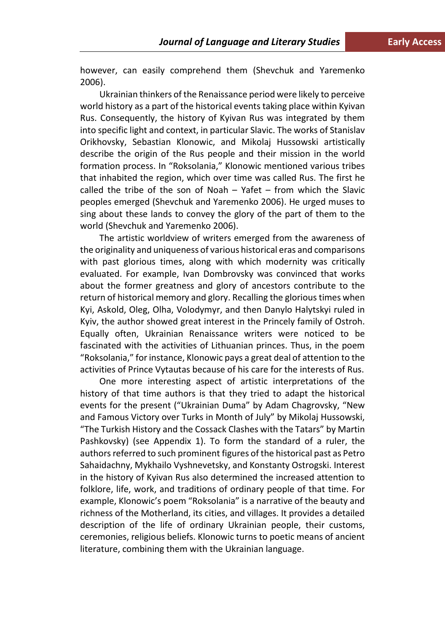however, can easily comprehend them (Shevchuk and Yaremenko 2006).

Ukrainian thinkers of the Renaissance period were likely to perceive world history as a part of the historical events taking place within Kyivan Rus. Consequently, the history of Kyivan Rus was integrated by them into specific light and context, in particular Slavic. The works of Stanislav Orikhovsky, Sebastian Klonowic, and Mikolaj Hussowski artistically describe the origin of the Rus people and their mission in the world formation process. In "Roksolania," Klonowic mentioned various tribes that inhabited the region, which over time was called Rus. The first he called the tribe of the son of Noah – Yafet – from which the Slavic peoples emerged (Shevchuk and Yaremenko 2006). He urged muses to sing about these lands to convey the glory of the part of them to the world (Shevchuk and Yaremenko 2006).

The artistic worldview of writers emerged from the awareness of the originality and uniqueness of various historical eras and comparisons with past glorious times, along with which modernity was critically evaluated. For example, Ivan Dombrovsky was convinced that works about the former greatness and glory of ancestors contribute to the return of historical memory and glory. Recalling the glorious times when Kyi, Askold, Oleg, Olha, Volodymyr, and then Danylo Halytskyi ruled in Kyiv, the author showed great interest in the Princely family of Ostroh. Equally often, Ukrainian Renaissance writers were noticed to be fascinated with the activities of Lithuanian princes. Thus, in the poem "Roksolania," for instance, Klonowic pays a great deal of attention to the activities of Prince Vytautas because of his care for the interests of Rus.

One more interesting aspect of artistic interpretations of the history of that time authors is that they tried to adapt the historical events for the present ("Ukrainian Duma" by Adam Chagrovsky, "New and Famous Victory over Turks in Month of July" by Mikolaj Hussowski, "The Turkish History and the Cossack Clashes with the Tatars" by Martin Pashkovsky) (see Appendix 1). To form the standard of a ruler, the authors referred to such prominent figures of the historical past as Petro Sahaidachny, Mykhailo Vyshnevetsky, and Konstanty Ostrogski. Interest in the history of Kyivan Rus also determined the increased attention to folklore, life, work, and traditions of ordinary people of that time. For example, Klonowic's poem "Roksolania" is a narrative of the beauty and richness of the Motherland, its cities, and villages. It provides a detailed description of the life of ordinary Ukrainian people, their customs, ceremonies, religious beliefs. Klonowic turns to poetic means of ancient literature, combining them with the Ukrainian language.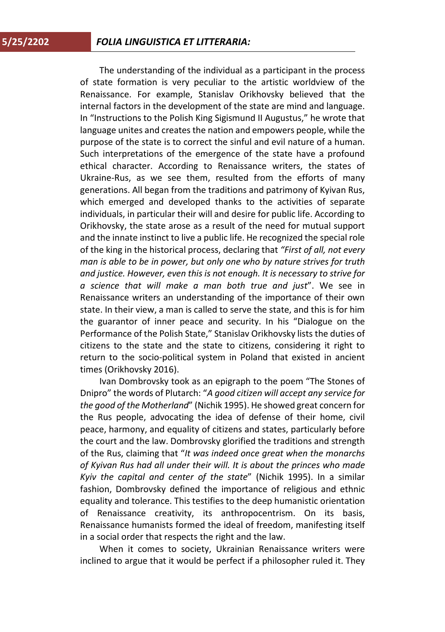The understanding of the individual as a participant in the process of state formation is very peculiar to the artistic worldview of the Renaissance. For example, Stanislav Orikhovsky believed that the internal factors in the development of the state are mind and language. In "Instructions to the Polish King Sigismund II Augustus," he wrote that language unites and creates the nation and empowers people, while the purpose of the state is to correct the sinful and evil nature of a human. Such interpretations of the emergence of the state have a profound ethical character. According to Renaissance writers, the states of Ukraine-Rus, as we see them, resulted from the efforts of many generations. All began from the traditions and patrimony of Kyivan Rus, which emerged and developed thanks to the activities of separate individuals, in particular their will and desire for public life. According to Orikhovsky, the state arose as a result of the need for mutual support and the innate instinct to live a public life. He recognized the special role of the king in the historical process, declaring that *"First of all, not every man is able to be in power, but only one who by nature strives for truth and justice. However, even this is not enough. It is necessary to strive for a science that will make a man both true and just*". We see in Renaissance writers an understanding of the importance of their own state. In their view, a man is called to serve the state, and this is for him the guarantor of inner peace and security. In his "Dialogue on the Performance of the Polish State," Stanislav Orikhovsky lists the duties of citizens to the state and the state to citizens, considering it right to return to the socio-political system in Poland that existed in ancient times (Orikhovsky 2016).

Ivan Dombrovsky took as an epigraph to the poem "The Stones of Dnipro" the words of Plutarch: "*A good citizen will accept any service for the good of the Motherland*" (Nichik 1995). He showed great concern for the Rus people, advocating the idea of defense of their home, civil peace, harmony, and equality of citizens and states, particularly before the court and the law. Dombrovsky glorified the traditions and strength of the Rus, claiming that "*It was indeed once great when the monarchs of Kyivan Rus had all under their will. It is about the princes who made Kyiv the capital and center of the state*" (Nichik 1995). In a similar fashion, Dombrovsky defined the importance of religious and ethnic equality and tolerance. This testifies to the deep humanistic orientation of Renaissance creativity, its anthropocentrism. On its basis, Renaissance humanists formed the ideal of freedom, manifesting itself in a social order that respects the right and the law.

When it comes to society, Ukrainian Renaissance writers were inclined to argue that it would be perfect if a philosopher ruled it. They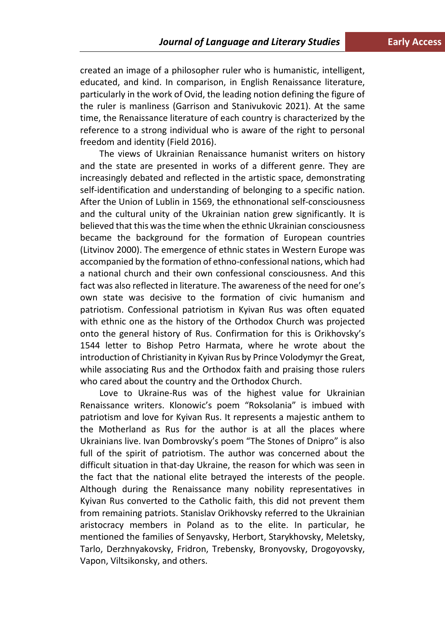created an image of a philosopher ruler who is humanistic, intelligent, educated, and kind. In comparison, in English Renaissance literature, particularly in the work of Ovid, the leading notion defining the figure of the ruler is manliness (Garrison and Stanivukovic 2021). At the same time, the Renaissance literature of each country is characterized by the reference to a strong individual who is aware of the right to personal freedom and identity (Field 2016).

The views of Ukrainian Renaissance humanist writers on history and the state are presented in works of a different genre. They are increasingly debated and reflected in the artistic space, demonstrating self-identification and understanding of belonging to a specific nation. After the Union of Lublin in 1569, the ethnonational self-consciousness and the cultural unity of the Ukrainian nation grew significantly. It is believed that this was the time when the ethnic Ukrainian consciousness became the background for the formation of European countries (Litvinov 2000). The emergence of ethnic states in Western Europe was accompanied by the formation of ethno-confessional nations, which had a national church and their own confessional consciousness. And this fact was also reflected in literature. The awareness of the need for one's own state was decisive to the formation of civic humanism and patriotism. Confessional patriotism in Kyivan Rus was often equated with ethnic one as the history of the Orthodox Church was projected onto the general history of Rus. Confirmation for this is Orikhovsky's 1544 letter to Bishop Petro Harmata, where he wrote about the introduction of Christianity in Kyivan Rus by Prince Volodymyr the Great, while associating Rus and the Orthodox faith and praising those rulers who cared about the country and the Orthodox Church.

Love to Ukraine-Rus was of the highest value for Ukrainian Renaissance writers. Klonowic's poem "Roksolania" is imbued with patriotism and love for Kyivan Rus. It represents a majestic anthem to the Motherland as Rus for the author is at all the places where Ukrainians live. Ivan Dombrovsky's poem "The Stones of Dnipro" is also full of the spirit of patriotism. The author was concerned about the difficult situation in that-day Ukraine, the reason for which was seen in the fact that the national elite betrayed the interests of the people. Although during the Renaissance many nobility representatives in Kyivan Rus converted to the Catholic faith, this did not prevent them from remaining patriots. Stanislav Orikhovsky referred to the Ukrainian aristocracy members in Poland as to the elite. In particular, he mentioned the families of Senyavsky, Herbort, Starykhovsky, Meletsky, Tarlo, Derzhnyakovsky, Fridron, Trebensky, Bronyovsky, Drogoyovsky, Vapon, Viltsikonsky, and others.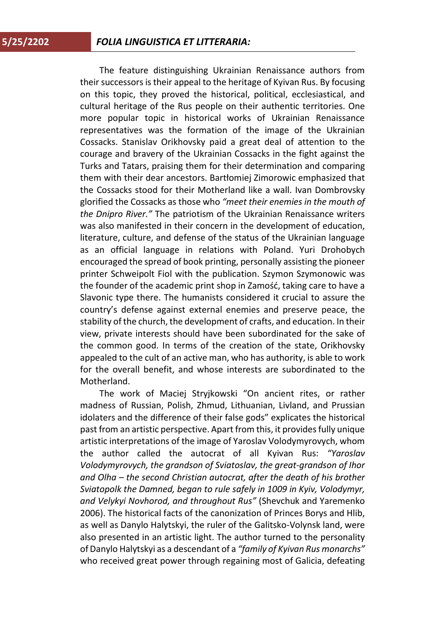The feature distinguishing Ukrainian Renaissance authors from their successors is their appeal to the heritage of Kyivan Rus. By focusing on this topic, they proved the historical, political, ecclesiastical, and cultural heritage of the Rus people on their authentic territories. One more popular topic in historical works of Ukrainian Renaissance representatives was the formation of the image of the Ukrainian Cossacks. Stanislav Orikhovsky paid a great deal of attention to the courage and bravery of the Ukrainian Cossacks in the fight against the Turks and Tatars, praising them for their determination and comparing them with their dear ancestors. Bartłomiej Zimorowic emphasized that the Cossacks stood for their Motherland like a wall. Ivan Dombrovsky glorified the Cossacks as those who *"meet their enemies in the mouth of the Dnipro River."* The patriotism of the Ukrainian Renaissance writers was also manifested in their concern in the development of education, literature, culture, and defense of the status of the Ukrainian language as an official language in relations with Poland. Yuri Drohobych encouraged the spread of book printing, personally assisting the pioneer printer Schweipolt Fiol with the publication. Szymon Szymonowic was the founder of the academic print shop in Zamość, taking care to have a Slavonic type there. The humanists considered it crucial to assure the country's defense against external enemies and preserve peace, the stability of the church, the development of crafts, and education. In their view, private interests should have been subordinated for the sake of the common good. In terms of the creation of the state, Orikhovsky appealed to the cult of an active man, who has authority, is able to work for the overall benefit, and whose interests are subordinated to the Motherland.

The work of Maciej Stryjkowski "On ancient rites, or rather madness of Russian, Polish, Zhmud, Lithuanian, Livland, and Prussian idolaters and the difference of their false gods" explicates the historical past from an artistic perspective. Apart from this, it provides fully unique artistic interpretations of the image of Yaroslav Volodymyrovych, whom the author called the autocrat of all Kyivan Rus: *"Yaroslav Volodymyrovych, the grandson of Sviatoslav, the great-grandson of Ihor and Olha – the second Christian autocrat, after the death of his brother Sviatopolk the Damned, began to rule safely in 1009 in Kyiv, Volodymyr, and Velykyi Novhorod, and throughout Rus"* (Shevchuk and Yaremenko 2006). The historical facts of the canonization of Princes Borys and Hlib, as well as Danylo Halytskyi, the ruler of the Galitsko-Volynsk land, were also presented in an artistic light. The author turned to the personality of Danylo Halytskyi as a descendant of a *"family of Kyivan Rus monarchs"* who received great power through regaining most of Galicia, defeating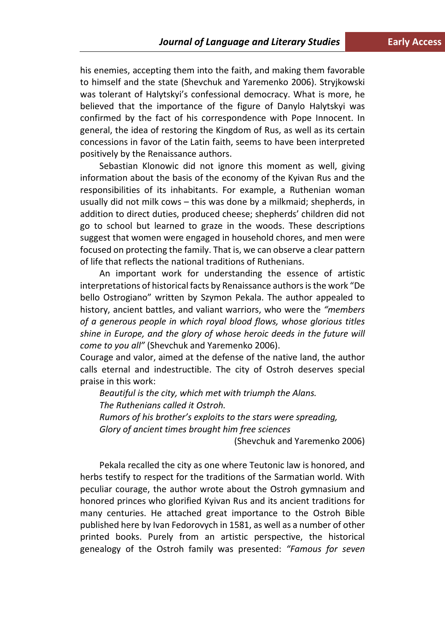his enemies, accepting them into the faith, and making them favorable to himself and the state (Shevchuk and Yaremenko 2006). Stryjkowski was tolerant of Halytskyi's confessional democracy. What is more, he believed that the importance of the figure of Danylo Halytskyi was confirmed by the fact of his correspondence with Pope Innocent. In general, the idea of restoring the Kingdom of Rus, as well as its certain concessions in favor of the Latin faith, seems to have been interpreted positively by the Renaissance authors.

Sebastian Klonowic did not ignore this moment as well, giving information about the basis of the economy of the Kyivan Rus and the responsibilities of its inhabitants. For example, a Ruthenian woman usually did not milk cows – this was done by a milkmaid; shepherds, in addition to direct duties, produced cheese; shepherds' children did not go to school but learned to graze in the woods. These descriptions suggest that women were engaged in household chores, and men were focused on protecting the family. That is, we can observe a clear pattern of life that reflects the national traditions of Ruthenians.

An important work for understanding the essence of artistic interpretations of historical facts by Renaissance authors is the work "De bello Ostrogiano" written by Szymon Pekala. The author appealed to history, ancient battles, and valiant warriors, who were the *"members of a generous people in which royal blood flows, whose glorious titles shine in Europe, and the glory of whose heroic deeds in the future will come to you all"* (Shevchuk and Yaremenko 2006).

Courage and valor, aimed at the defense of the native land, the author calls eternal and indestructible. The city of Ostroh deserves special praise in this work:

*Beautiful is the city, which met with triumph the Alans. The Ruthenians called it Ostroh. Rumors of his brother's exploits to the stars were spreading, Glory of ancient times brought him free sciences*

(Shevchuk and Yaremenko 2006)

Pekala recalled the city as one where Teutonic law is honored, and herbs testify to respect for the traditions of the Sarmatian world. With peculiar courage, the author wrote about the Ostroh gymnasium and honored princes who glorified Kyivan Rus and its ancient traditions for many centuries. He attached great importance to the Ostroh Bible published here by Ivan Fedorovych in 1581, as well as a number of other printed books. Purely from an artistic perspective, the historical genealogy of the Ostroh family was presented: *"Famous for seven*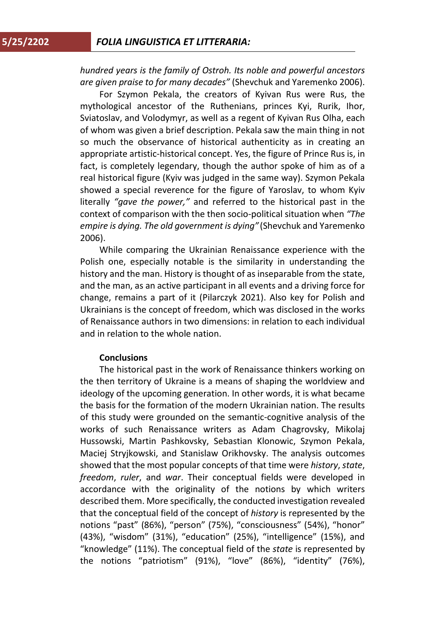*hundred years is the family of Ostroh. Its noble and powerful ancestors are given praise to for many decades"* (Shevchuk and Yaremenko 2006).

For Szymon Pekala, the creators of Kyivan Rus were Rus, the mythological ancestor of the Ruthenians, princes Kyi, Rurik, Ihor, Sviatoslav, and Volodymyr, as well as a regent of Kyivan Rus Olha, each of whom was given a brief description. Pekala saw the main thing in not so much the observance of historical authenticity as in creating an appropriate artistic-historical concept. Yes, the figure of Prince Rus is, in fact, is completely legendary, though the author spoke of him as of a real historical figure (Kyiv was judged in the same way). Szymon Pekala showed a special reverence for the figure of Yaroslav, to whom Kyiv literally *"gave the power,"* and referred to the historical past in the context of comparison with the then socio-political situation when *"The empire is dying. The old government is dying"* (Shevchuk and Yaremenko 2006).

While comparing the Ukrainian Renaissance experience with the Polish one, especially notable is the similarity in understanding the history and the man. History is thought of as inseparable from the state, and the man, as an active participant in all events and a driving force for change, remains a part of it (Pilarczyk 2021). Also key for Polish and Ukrainians is the concept of freedom, which was disclosed in the works of Renaissance authors in two dimensions: in relation to each individual and in relation to the whole nation.

## **Conclusions**

The historical past in the work of Renaissance thinkers working on the then territory of Ukraine is a means of shaping the worldview and ideology of the upcoming generation. In other words, it is what became the basis for the formation of the modern Ukrainian nation. The results of this study were grounded on the semantic-cognitive analysis of the works of such Renaissance writers as Adam Chagrovsky, Mikolaj Hussowski, Martin Pashkovsky, Sebastian Klonowic, Szymon Pekala, Maciej Stryjkowski, and Stanislaw Orikhovsky. The analysis outcomes showed that the most popular concepts of that time were *history*, *state*, *freedom*, *ruler*, and *war*. Their conceptual fields were developed in accordance with the originality of the notions by which writers described them. More specifically, the conducted investigation revealed that the conceptual field of the concept of *history* is represented by the notions "past" (86%), "person" (75%), "consciousness" (54%), "honor" (43%), "wisdom" (31%), "education" (25%), "intelligence" (15%), and "knowledge" (11%). The conceptual field of the *state* is represented by the notions "patriotism" (91%), "love" (86%), "identity" (76%),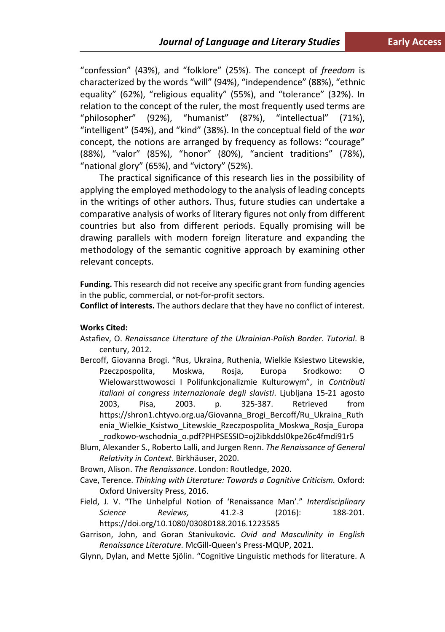"confession" (43%), and "folklore" (25%). The concept of *freedom* is characterized by the words "will" (94%), "independence" (88%), "ethnic equality" (62%), "religious equality" (55%), and "tolerance" (32%). In relation to the concept of the ruler, the most frequently used terms are "philosopher" (92%), "humanist" (87%), "intellectual" (71%), "intelligent" (54%), and "kind" (38%). In the conceptual field of the *war* concept, the notions are arranged by frequency as follows: "courage" (88%), "valor" (85%), "honor" (80%), "ancient traditions" (78%), "national glory" (65%), and "victory" (52%).

The practical significance of this research lies in the possibility of applying the employed methodology to the analysis of leading concepts in the writings of other authors. Thus, future studies can undertake a comparative analysis of works of literary figures not only from different countries but also from different periods. Equally promising will be drawing parallels with modern foreign literature and expanding the methodology of the semantic cognitive approach by examining other relevant concepts.

**Funding.** This research did not receive any specific grant from funding agencies in the public, commercial, or not-for-profit sectors.

**Conflict of interests.** The authors declare that they have no conflict of interest.

## **Works Cited:**

- Astafiev, O. *Renaissance Literature of the Ukrainian-Polish Border*. *Tutorial*. B century, 2012.
- Bercoff, Giovanna Brogi. "Rus, Ukraina, Ruthenia, Wielkie Ksiestwo Litewskie, Pzeczpospolita, Moskwa, Rosja, Europa Srodkowo: O Wielowarsttwowosci I Polifunkcjonalizmie Kulturowym", in *Contributi italiani al congress internazionale degli slavisti*. Ljubljana 15-21 agosto 2003, Pisa, 2003. p. 325-387. Retrieved from https://shron1.chtyvo.org.ua/Giovanna\_Brogi\_Bercoff/Ru\_Ukraina\_Ruth enia\_Wielkie\_Ksistwo\_Litewskie\_Rzeczpospolita\_Moskwa\_Rosja\_Europa \_rodkowo-wschodnia\_o.pdf?PHPSESSID=oj2ibkddsl0kpe26c4fmdi91r5
- Blum, Alexander S., Roberto Lalli, and Jurgen Renn. *The Renaissance of General Relativity in Context.* Birkhäuser, 2020.
- Brown, Alison. *The Renaissance*. London: Routledge, 2020.
- Cave, Terence. *Thinking with Literature: Towards a Cognitive Criticism.* Oxford: Oxford University Press, 2016.
- Field, J. V. "The Unhelpful Notion of 'Renaissance Man'." *Interdisciplinary Science Reviews,* 41.2-3 (2016): 188-201. https://doi.org/10.1080/03080188.2016.1223585
- Garrison, John, and Goran Stanivukovic. *Ovid and Masculinity in English Renaissance Literature.* McGill-Queen's Press-MQUP, 2021.
- Glynn, Dylan, and Mette Sjölin. "Cognitive Linguistic methods for literature. A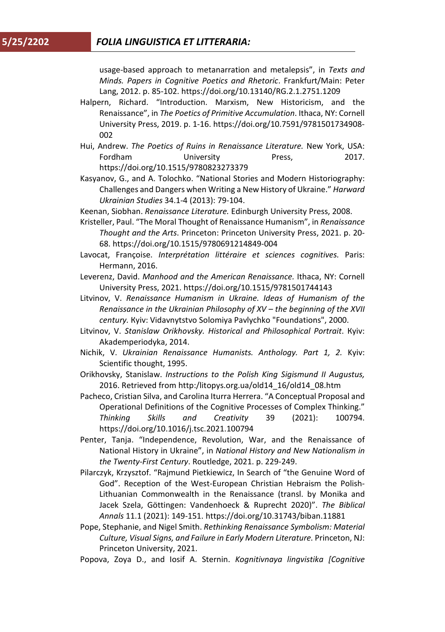usage-based approach to metanarration and metalepsis", in *Texts and Minds. Papers in Cognitive Poetics and Rhetoric*. Frankfurt/Main: Peter Lang, 2012. p. 85-102. https://doi.org/10.13140/RG.2.1.2751.1209

- Halpern, Richard. "Introduction. Marxism, New Historicism, and the Renaissance", in *The Poetics of Primitive Accumulation*. Ithaca, NY: Cornell University Press, 2019. p. 1-16. https://doi.org/10.7591/9781501734908- 002
- Hui, Andrew. *The Poetics of Ruins in Renaissance Literature.* New York, USA: Fordham **University** Press, 2017. https://doi.org/10.1515/9780823273379
- Kasyanov, G., and A. Tolochko. "National Stories and Modern Historiography: Challenges and Dangers when Writing a New History of Ukraine." *Harward Ukrainian Studies* 34.1-4 (2013): 79-104.
- Keenan, Siobhan. *Renaissance Literature.* Edinburgh University Press, 2008.
- Kristeller, Paul. "The Moral Thought of Renaissance Humanism", in *Renaissance Thought and the Arts*. Princeton: Princeton University Press, 2021. p. 20- 68. https://doi.org/10.1515/9780691214849-004
- Lavocat, Françoise. *Interprétation littéraire et sciences cognitives.* Paris: Hermann, 2016.
- Leverenz, David. *Manhood and the American Renaissance.* Ithaca, NY: Cornell University Press, 2021. https://doi.org/10.1515/9781501744143
- Litvinov, V. *Renaissance Humanism in Ukraine. Ideas of Humanism of the Renaissance in the Ukrainian Philosophy of XV – the beginning of the XVII century.* Кyiv: Vidavnytstvo Solomiya Pavlychko "Foundations", 2000.
- Litvinov, V. *Stanislaw Orikhovsky. Historical and Philosophical Portrait*. Кyiv: Akademperiodyka, 2014.
- Nichik, V. *Ukrainian Renaissance Humanists. Anthology. Part 1, 2.* Kyiv: Scientific thought, 1995.
- Orikhovsky, Stanislaw. *Instructions to the Polish King Sigismund II Augustus,*  2016. Retrieved from http:/litopys.org.ua/old14\_16/old14\_08.htm
- Pacheco, Cristian Silva, and Carolina Iturra Herrera. "A Conceptual Proposal and Operational Definitions of the Cognitive Processes of Complex Thinking." *Thinking Skills and Creativity* 39 (2021): 100794. https://doi.org/10.1016/j.tsc.2021.100794
- Penter, Tanja. "Independence, Revolution, War, and the Renaissance of National History in Ukraine", in *National History and New Nationalism in the Twenty-First Century*. Routledge, 2021. p. 229-249.
- Pilarczyk, Krzysztof. "Rajmund Pietkiewicz, In Search of "the Genuine Word of God". Reception of the West-European Christian Hebraism the Polish-Lithuanian Commonwealth in the Renaissance (transl. by Monika and Jacek Szela, Göttingen: Vandenhoeck & Ruprecht 2020)". *The Biblical Annals* 11.1 (2021): 149-151. https://doi.org/10.31743/biban.11881
- Pope, Stephanie, and Nigel Smith. *Rethinking Renaissance Symbolism: Material Culture, Visual Signs, and Failure in Early Modern Literature.* Princeton, NJ: Princeton University, 2021.
- Popova, Zoya D., and Iosif A. Sternin. *Kognitivnaya lingvistika [Cognitive*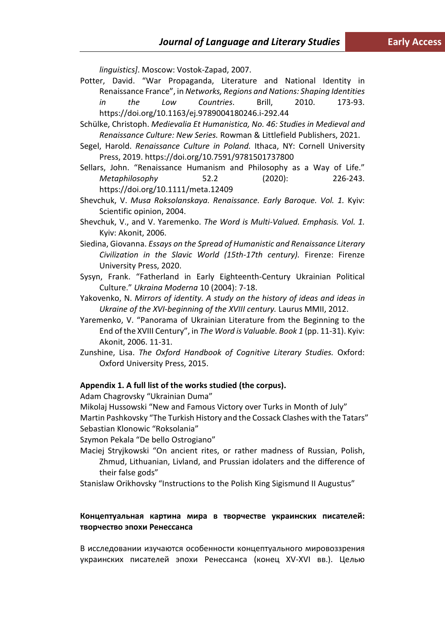*linguistics]*. Moscow: Vostok-Zapad, 2007.

- Potter, David. "War Propaganda, Literature and National Identity in Renaissance France", in *Networks, Regions and Nations: Shaping Identities in the Low Countries*. Brill, 2010. 173-93. https://doi.org/10.1163/ej.9789004180246.i-292.44
- Schülke, Christoph. *Medievalia Et Humanistica, No. 46: Studies in Medieval and Renaissance Culture: New Series.* Rowman & Littlefield Publishers, 2021.
- Segel, Harold. *Renaissance Culture in Poland.* Ithaca, NY: Cornell University Press, 2019. https://doi.org/10.7591/9781501737800
- Sellars, John. "Renaissance Humanism and Philosophy as a Way of Life." *Metaphilosophy* 52.2 (2020): 226-243. https://doi.org/10.1111/meta.12409
- Shevchuk, V. *Musa Roksolanskaya. Renaissance. Early Baroque. Vol. 1.* Kyiv: Scientific opinion, 2004.
- Shevchuk, V., and V. Yaremenko. *The Word is Multi-Valued. Emphasis. Vol. 1.* Kyiv: Akonit, 2006.
- Siedina, Giovanna. *Essays on the Spread of Humanistic and Renaissance Literary Civilization in the Slavic World (15th-17th century).* Firenze: Firenze University Press, 2020.
- Sysyn, Frank. "Fatherland in Early Eighteenth-Century Ukrainian Political Culture." *Ukraina Moderna* 10 (2004): 7-18.
- Yakovenko, N. *Mirrors of identity. A study on the history of ideas and ideas in Ukraine of the XVI-beginning of the XVIII century.* Laurus MMII, 2012.
- Yaremenko, V. "Panorama of Ukrainian Literature from the Beginning to the End of the XVIII Century", in *The Word is Valuable. Book 1* (pp. 11-31). Kyiv: Akonit, 2006. 11-31.
- Zunshine, Lisa. *The Oxford Handbook of Cognitive Literary Studies.* Oxford: Oxford University Press, 2015.

### **Appendix 1. A full list of the works studied (the corpus).**

Adam Chagrovsky "Ukrainian Duma"

Mikolaj Hussowski "New and Famous Victory over Turks in Month of July" Martin Pashkovsky "The Turkish History and the Cossack Clashes with the Tatars" Sebastian Klonowic "Roksolania"

Szymon Pekala "De bello Ostrogiano"

- Maciej Stryjkowski "On ancient rites, or rather madness of Russian, Polish, Zhmud, Lithuanian, Livland, and Prussian idolaters and the difference of their false gods"
- Stanislaw Orikhovsky "Instructions to the Polish King Sigismund II Augustus"

## **Концептуальная картина мира в творчестве украинских писателей: творчество эпохи Ренессанса**

В исследовании изучаются особенности концептуального мировоззрения украинских писателей эпохи Ренессанса (конец XV-XVI вв.). Целью